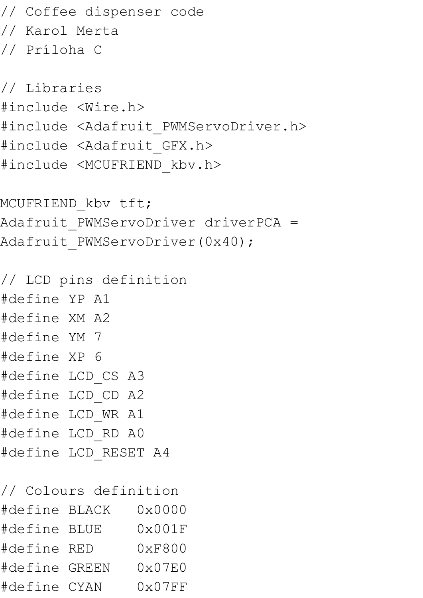// Coffee dispenser code // Karol Merta // Príloha C

// Libraries #include <Wire.h> #include <Adafruit PWMServoDriver.h> #include <Adafruit\_GFX.h> #include <MCUFRIEND\_kbv.h>

MCUFRIEND kbv tft; Adafruit\_PWMServoDriver driverPCA = Adafruit PWMServoDriver(0x40);

// LCD pins definition #define YP A1 #define XM A2 #define YM 7 #define XP 6 #define LCD\_CS A3 #define LCD\_CD A2 #define LCD\_WR A1 #define LCD\_RD A0 #define LCD\_RESET A4

// Colours definition #define BLACK 0x0000 #define BLUE 0x001F #define RED 0xF800 #define GREEN 0x07E0 #define CYAN 0x07FF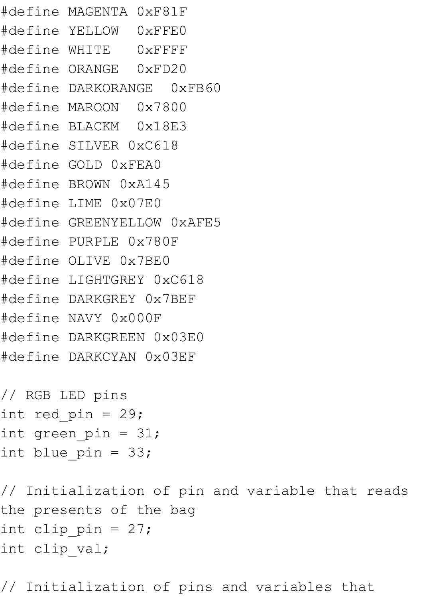#define MAGENTA 0xF81F #define YELLOW 0xFFE0 #define WHITE 0xFFFF #define ORANGE 0xFD20 #define DARKORANGE 0xFB60 #define MAROON 0x7800 #define BLACKM 0x18E3 #define SILVER 0xC618 #define GOLD 0xFEA0 #define BROWN 0xA145 #define LIME 0x07E0 #define GREENYELLOW 0xAFE5 #define PURPLE 0x780F #define OLIVE 0x7BE0 #define LIGHTGREY 0xC618 #define DARKGREY 0x7BEF #define NAVY 0x000F #define DARKGREEN 0x03E0 #define DARKCYAN 0x03EF

```
// RGB LED pins
int red pin = 29;int green pin = 31;int blue pin = 33;
```
// Initialization of pin and variable that reads the presents of the bag int clip  $pin = 27;$ int clip\_val;

// Initialization of pins and variables that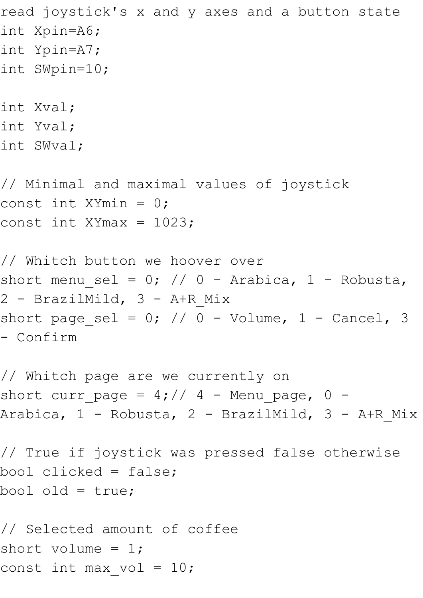```
read joystick's x and y axes and a button state
int Xpin=A6;
int Ypin=A7;
int SWpin=10;
int Xval;
int Yval;
int SWval;
// Minimal and maximal values of joystick
const int XYmin = 0;
const int XYmax = 1023;
// Whitch button we hoover over
```
short menu sel = 0; // 0 - Arabica, 1 - Robusta,  $2$  - BrazilMild,  $3$  - A+R Mix short page sel = 0; // 0 - Volume, 1 - Cancel, 3 - Confirm

// Whitch page are we currently on short curr\_page =  $4$ ; //  $4$  - Menu\_page,  $0$  -Arabica, 1 - Robusta, 2 - BrazilMild, 3 - A+R Mix

// True if joystick was pressed false otherwise bool clicked = false; bool old = true;

// Selected amount of coffee short volume =  $1$ ; const int max vol =  $10;$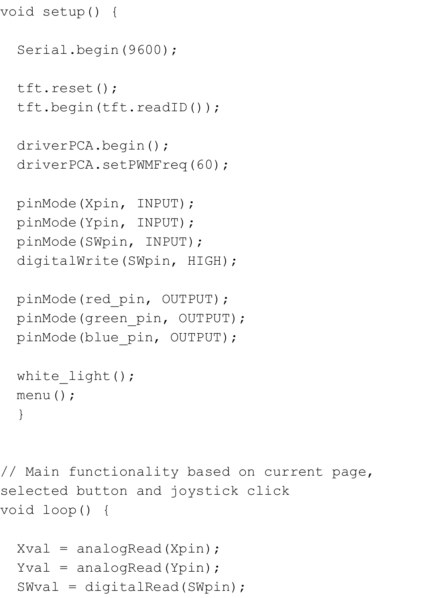```
void setup() {
```

```
 Serial.begin(9600);
 tft.reset();
 tft.begin(tft.readID());
 driverPCA.begin();
 driverPCA.setPWMFreq(60);
 pinMode(Xpin, INPUT);
 pinMode(Ypin, INPUT);
 pinMode(SWpin, INPUT);
 digitalWrite(SWpin, HIGH);
 pinMode(red_pin, OUTPUT);
```

```
 pinMode(green_pin, OUTPUT);
pinMode(blue pin, OUTPUT);
```

```
white light();
 menu();
 }
```

```
// Main functionality based on current page, 
selected button and joystick click 
void loop() {
```

```
Xval = analogRead(Xpin);Yval = analogRead(Ypin) ;
 SWval = digitalRead(SWpin);
```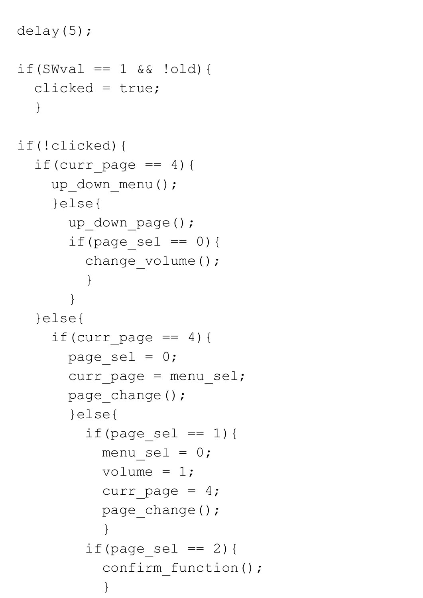```
 delay(5);
 if(SWval == 1 & & (old)) clicked = true;
    }
  if(!clicked){
   if(curr page == 4){
     up down menu();
      }else{
       up down page();
       if(page sel == 0) {
         change volume();
 }
 } 
    }else{
     if(curr page == 4){
       page sel = 0;curr page = menu sel;
       page change();
        }else{
         if(page sel == 1){
           menu sel = 0;volume = 1;curr page = 4;page_change();
 }
         if(page sel == 2){
           confirm function();
 }
```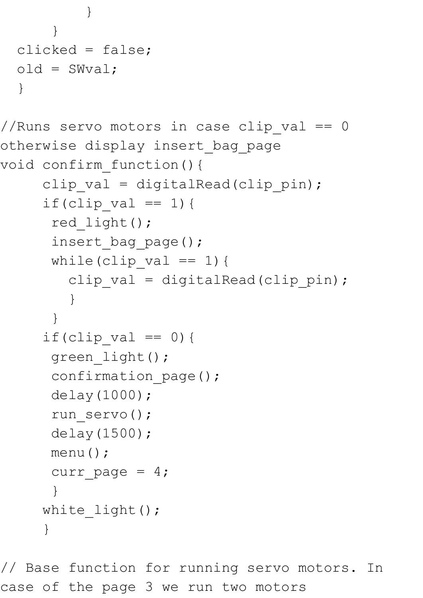```
 }
 }
  clicked = false;
 old = SWval; }
//Runs servo motors in case clip val == 0otherwise display insert_bag_page
void confirm_function(){
    clip val = digitalRead(clip pin);
    if(clip val == 1){
      red_light();
     insert bag page();
     while(clip val == 1){
       clip val = digitalRead(clip pin);
 }
 }
```

```
if(clip val == 0){
 green light();
```

```
confirmation page();
```

```
 delay(1000);
```

```
run servo();
 delay(1500);
```

```
 menu();
curr page = 4;
```

```
 } 
   white_light();
 }
```
// Base function for running servo motors. In case of the page 3 we run two motors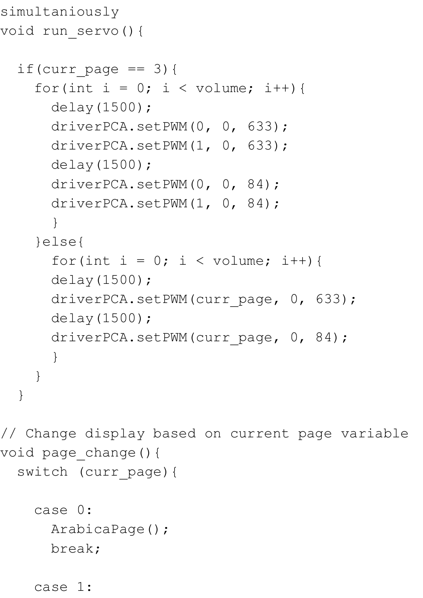```
simultaniously 
void run_servo(){
  if(curr page == 3) {
    for(int i = 0; i < volume; i++) {
       delay(1500);
      driverPCA.setPWM(0, 0, 633);
      driverPCA.setPWM(1, 0, 633);
       delay(1500);
      driverPCA.setPWM(0, 0, 84);
      driverPCA.setPWM(1, 0, 84);
 }
     }else{
      for(int i = 0; i < volume; i++){
       delay(1500);
      driverPCA.setPWM(curr page, 0, 633);
       delay(1500);
      driverPCA.setPWM(curr page, 0, 84);
 }
     }
   } 
// Change display based on current page variable
void page_change(){
   switch (curr_page){
     case 0:
       ArabicaPage();
       break;
     case 1:
```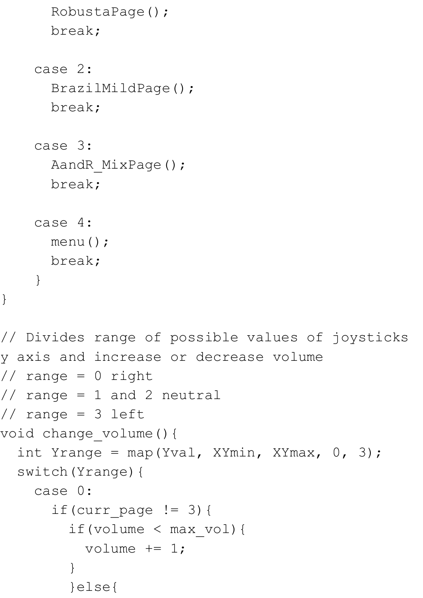```
 RobustaPage();
       break;
     case 2:
       BrazilMildPage();
       break;
     case 3:
      AandR MixPage();
       break;
     case 4:
       menu();
       break;
     }
} 
// Divides range of possible values of joysticks 
y axis and increase or decrease volume
// range = 0 right
// range = 1 and 2 neutral
// range = 3 left
void change_volume(){
  int Yrange = map(Yval, XYmin, XYmax, 0, 3);
   switch(Yrange){
     case 0:
      if(curr page != 3){
         if(volume < max_vol){
          volume += 1; }
         }else{
```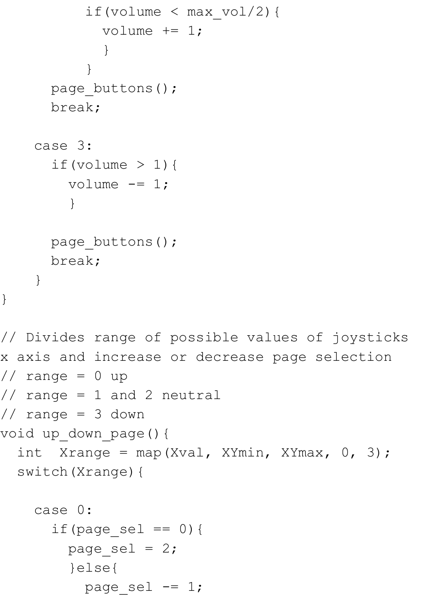```
if(volume < max vol/2){
            volume += 1; }
 }
     page buttons();
      break;
     case 3:
     if(volume > 1) {
       volume -= 1;
 }
     page buttons();
      break;
     }
}
// Divides range of possible values of joysticks 
x axis and increase or decrease page selection
// range = 0 up
// range = 1 and 2 neutral
// range = 3 down 
void up down page() {
 int Xrange = map(Xval, XYmin, XYmax, 0, 3);
  switch(Xrange){
     case 0:
      if(page_sel == 0) {
       page sel = 2; }else{
```
page sel  $=$  1;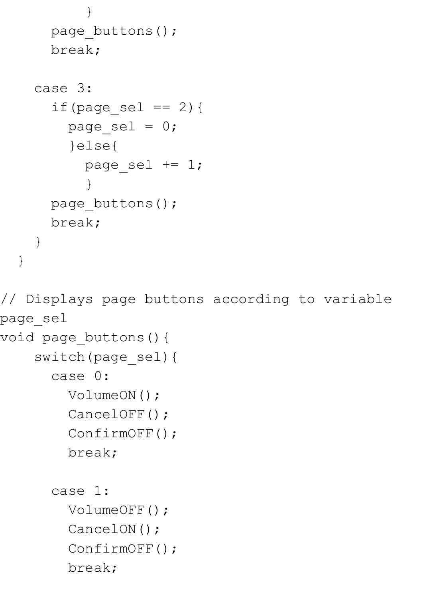```
 }
      page buttons();
       break;
     case 3:
      if(page sel == 2) {
        page sel = 0; }else{
          page sel += 1; }
      page buttons();
       break;
     }
   }
// Displays page buttons according to variable 
page_sel
void page_buttons(){
     switch(page_sel){
       case 0:
         VolumeON();
         CancelOFF();
         ConfirmOFF();
         break;
       case 1:
         VolumeOFF();
        CancelON();
         ConfirmOFF();
         break;
```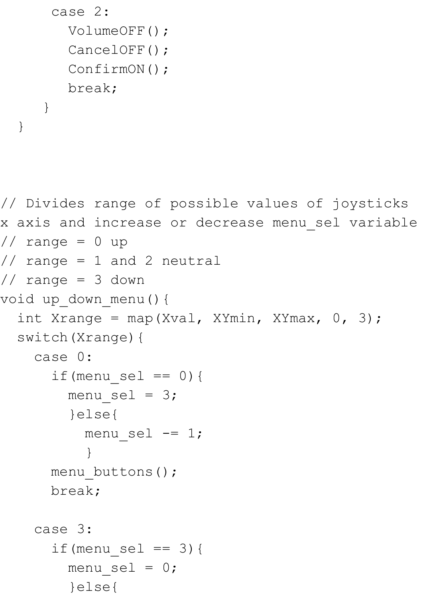```
 case 2:
         VolumeOFF();
         CancelOFF();
         ConfirmON();
         break;
 }
```

```
// Divides range of possible values of joysticks 
x axis and increase or decrease menu_sel variable
// range = 0 up
// range = 1 and 2 neutral
// range = 3 down 
void up_down_menu(){
  int Xrange = map(Xval, XYmin, XYmax, 0, 3);
   switch(Xrange){
     case 0:
      if(menu sel == 0) {
        menu sel = 3; }else{
          menu sel -= 1;
 }
     menu buttons();
       break;
     case 3:
      if(menu sel == 3){
        menu sel = 0; }else{
```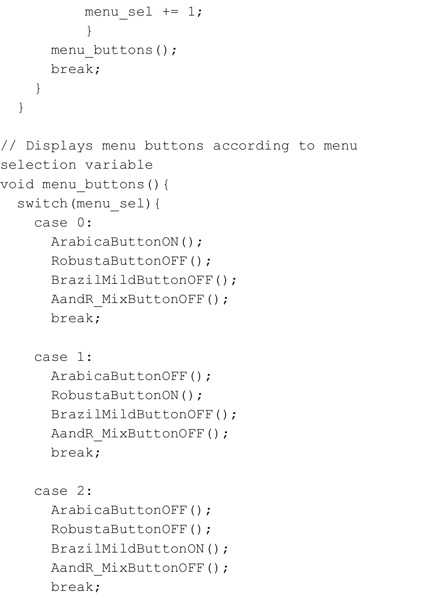```
menu sel += 1; }
      menu buttons();
       break;
 }
   }
// Displays menu buttons according to menu 
selection variable
void menu_buttons(){
   switch(menu_sel){
     case 0:
       ArabicaButtonON();
       RobustaButtonOFF();
       BrazilMildButtonOFF();
      AandR MixButtonOFF();
       break;
     case 1:
       ArabicaButtonOFF();
       RobustaButtonON();
       BrazilMildButtonOFF();
      AandR MixButtonOFF();
       break;
     case 2:
       ArabicaButtonOFF();
       RobustaButtonOFF();
       BrazilMildButtonON();
```

```
AandR MixButtonOFF();
```
break;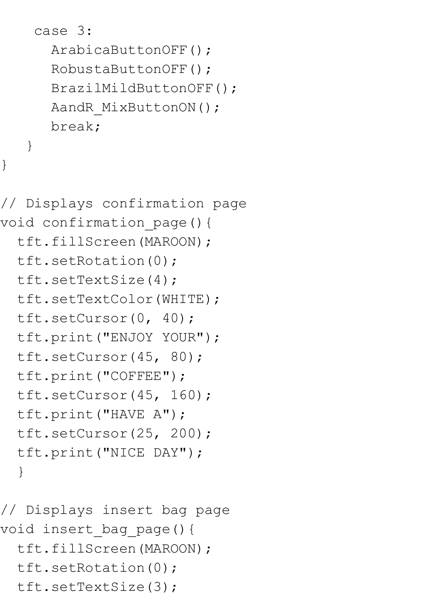```
 case 3:
    ArabicaButtonOFF();
    RobustaButtonOFF();
    BrazilMildButtonOFF();
   AandR MixButtonON();
    break;
 }
```

```
// Displays confirmation page
void confirmation page() {
   tft.fillScreen(MAROON);
   tft.setRotation(0);
   tft.setTextSize(4); 
   tft.setTextColor(WHITE);
   tft.setCursor(0, 40);
   tft.print("ENJOY YOUR");
   tft.setCursor(45, 80);
   tft.print("COFFEE");
   tft.setCursor(45, 160);
   tft.print("HAVE A");
   tft.setCursor(25, 200);
   tft.print("NICE DAY"); 
   }
```

```
// Displays insert bag page
void insert_bag_page(){
   tft.fillScreen(MAROON);
   tft.setRotation(0);
  tft.setTextSize(3);
```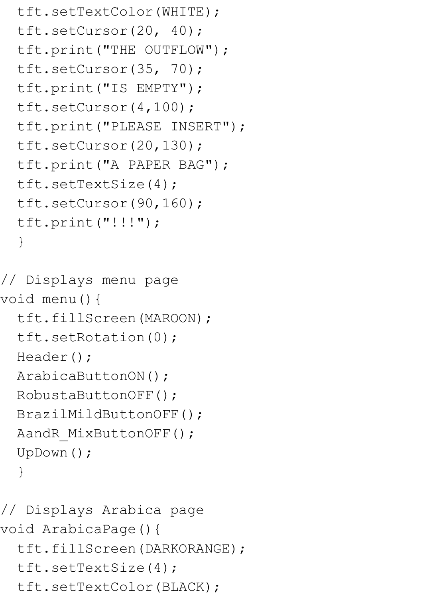```
 tft.setTextColor(WHITE);
 tft.setCursor(20, 40);
 tft.print("THE OUTFLOW");
 tft.setCursor(35, 70);
 tft.print("IS EMPTY");
 tft.setCursor(4,100);
 tft.print("PLEASE INSERT");
 tft.setCursor(20,130);
 tft.print("A PAPER BAG");
 tft.setTextSize(4); 
 tft.setCursor(90,160);
 tft.print("!!!"); 
 }
```

```
// Displays menu page
void menu(){
   tft.fillScreen(MAROON);
   tft.setRotation(0);
 Header();
  ArabicaButtonON();
  RobustaButtonOFF();
  BrazilMildButtonOFF();
 AandR MixButtonOFF();
 UpDown();
   }
```

```
// Displays Arabica page
void ArabicaPage(){
  tft.fillScreen(DARKORANGE);
  tft.setTextSize(4);
  tft.setTextColor(BLACK);
```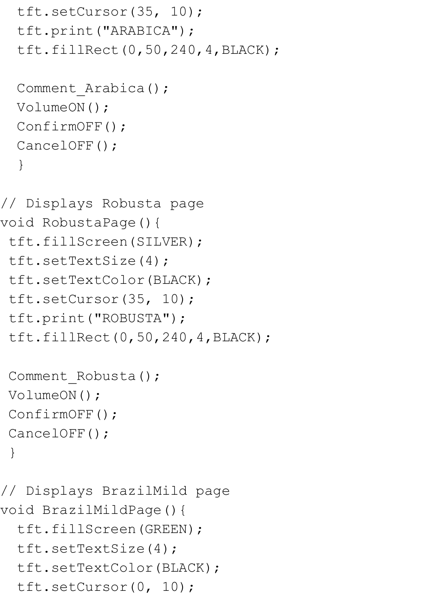```
 tft.setCursor(35, 10);
   tft.print("ARABICA");
   tft.fillRect(0,50,240,4,BLACK);
 Comment Arabica();
  VolumeON();
 ConfirmOFF();
  CancelOFF();
   }
// Displays Robusta page
void RobustaPage(){ 
 tft.fillScreen(SILVER);
 tft.setTextSize(4);
 tft.setTextColor(BLACK);
 tft.setCursor(35, 10);
 tft.print("ROBUSTA");
 tft.fillRect(0,50,240,4,BLACK);
Comment Robusta();
 VolumeON();
ConfirmOFF();
 CancelOFF();
  }
// Displays BrazilMild page
void BrazilMildPage(){ 
   tft.fillScreen(GREEN);
   tft.setTextSize(4);
```

```
 tft.setTextColor(BLACK);
```

```
 tft.setCursor(0, 10);
```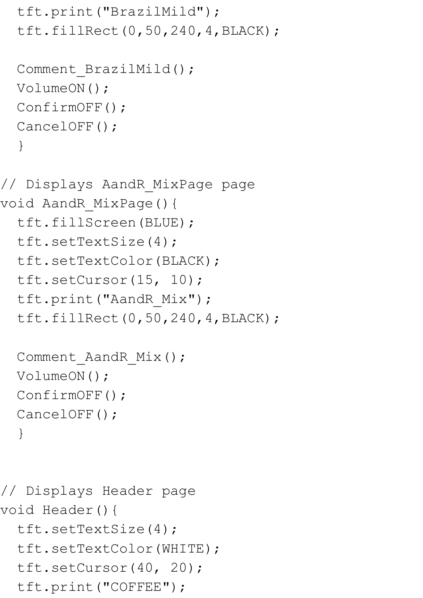```
 tft.print("BrazilMild");
   tft.fillRect(0,50,240,4,BLACK);
  Comment BrazilMild();
  VolumeON();
  ConfirmOFF();
  CancelOFF();
   } 
// Displays AandR_MixPage page
void AandR_MixPage(){
   tft.fillScreen(BLUE);
   tft.setTextSize(4);
   tft.setTextColor(BLACK);
   tft.setCursor(15, 10);
   tft.print("AandR_Mix");
   tft.fillRect(0,50,240,4,BLACK);
  Comment AandR Mix();
 VolumeON();
 ConfirmOFF();
  CancelOFF();
   }
// Displays Header page 
void Header(){
   tft.setTextSize(4);
   tft.setTextColor(WHITE);
```

```
 tft.setCursor(40, 20);
```

```
 tft.print("COFFEE");
```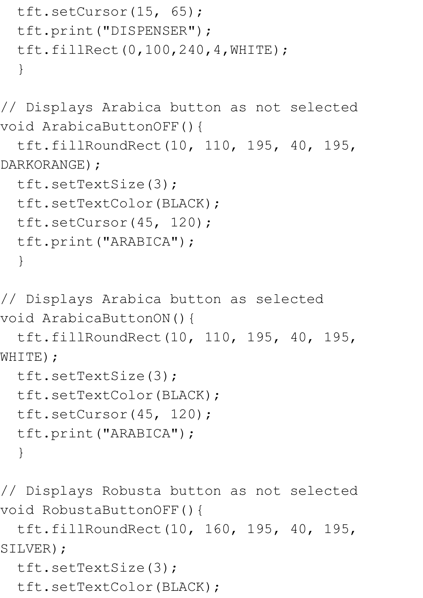```
 tft.setCursor(15, 65);
 tft.print("DISPENSER");
 tft.fillRect(0,100,240,4,WHITE); 
 }
```
// Displays Arabica button as not selected void ArabicaButtonOFF(){

```
 tft.fillRoundRect(10, 110, 195, 40, 195, 
DARKORANGE) ;
```

```
 tft.setTextSize(3); 
 tft.setTextColor(BLACK);
 tft.setCursor(45, 120);
 tft.print("ARABICA");
 }
```

```
// Displays Arabica button as selected 
void ArabicaButtonON(){
```

```
 tft.fillRoundRect(10, 110, 195, 40, 195, 
WHITE);
```

```
 tft.setTextSize(3); 
 tft.setTextColor(BLACK);
 tft.setCursor(45, 120);
 tft.print("ARABICA");
 }
```
// Displays Robusta button as not selected void RobustaButtonOFF(){

 tft.fillRoundRect(10, 160, 195, 40, 195, SILVER) ;

```
 tft.setTextSize(3);
```

```
 tft.setTextColor(BLACK);
```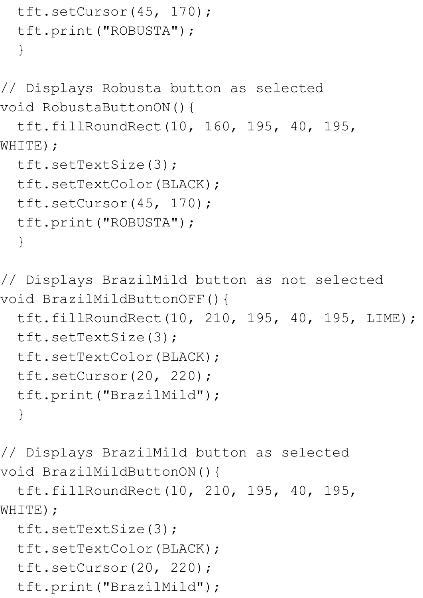```
 tft.setCursor(45, 170);
   tft.print("ROBUSTA");
   }
// Displays Robusta button as selected 
void RobustaButtonON(){
   tft.fillRoundRect(10, 160, 195, 40, 195, 
WHITE);
  tft.setTextSize(3); 
  tft.setTextColor(BLACK);
  tft.setCursor(45, 170);
  tft.print("ROBUSTA");
   }
// Displays BrazilMild button as not selected 
void BrazilMildButtonOFF(){
  tft.fillRoundRect(10, 210, 195, 40, 195, LIME);
  tft.setTextSize(3); 
  tft.setTextColor(BLACK);
  tft.setCursor(20, 220);
```

```
 tft.print("BrazilMild");
```
// Displays BrazilMild button as selected void BrazilMildButtonON(){

 tft.fillRoundRect(10, 210, 195, 40, 195, WHITE);

```
 tft.setTextSize(3); 
 tft.setTextColor(BLACK);
 tft.setCursor(20, 220);
 tft.print("BrazilMild");
```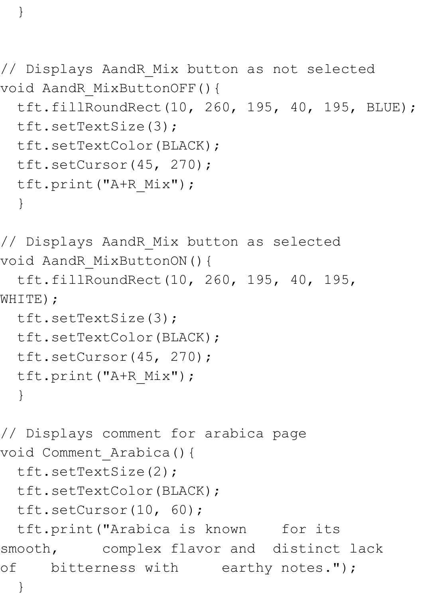// Displays AandR\_Mix button as not selected void AandR\_MixButtonOFF(){

```
 tft.fillRoundRect(10, 260, 195, 40, 195, BLUE);
 tft.setTextSize(3); 
 tft.setTextColor(BLACK);
 tft.setCursor(45, 270);
 tft.print("A+R_Mix");
 }
```
// Displays AandR\_Mix button as selected void AandR\_MixButtonON(){

```
 tft.fillRoundRect(10, 260, 195, 40, 195, 
WHITE);
```

```
 tft.setTextSize(3); 
 tft.setTextColor(BLACK);
 tft.setCursor(45, 270);
 tft.print("A+R_Mix");
 }
```

```
// Displays comment for arabica page 
void Comment_Arabica(){
  tft.setTextSize(2); 
  tft.setTextColor(BLACK);
  tft.setCursor(10, 60);
  tft.print("Arabica is known for its 
smooth, complex flavor and distinct lack 
of bitterness with earthy notes.");
```

```
 }
```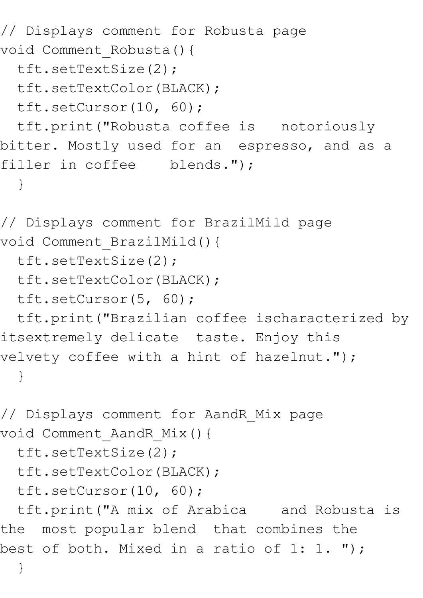```
// Displays comment for Robusta page 
void Comment_Robusta(){
  tft.setTextSize(2); 
  tft.setTextColor(BLACK);
  tft.setCursor(10, 60);
  tft.print("Robusta coffee is notoriously 
bitter. Mostly used for an espresso, and as a 
filler in coffee blends.");
   }
// Displays comment for BrazilMild page 
void Comment_BrazilMild(){
  tft.setTextSize(2); 
  tft.setTextColor(BLACK);
  tft.setCursor(5, 60);
  tft.print("Brazilian coffee ischaracterized by 
itsextremely delicate taste. Enjoy this 
velvety coffee with a hint of hazelnut.");
   }
// Displays comment for AandR_Mix page 
void Comment_AandR_Mix(){
  tft.setTextSize(2); 
  tft.setTextColor(BLACK);
  tft.setCursor(10, 60);
  tft.print("A mix of Arabica and Robusta is 
the most popular blend that combines the 
best of both. Mixed in a ratio of 1: 1. ");
   }
```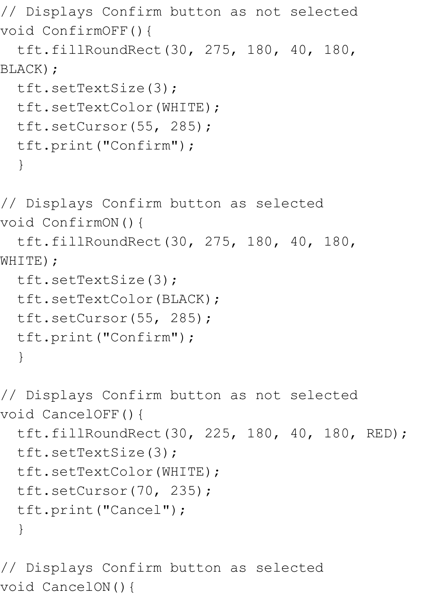// Displays Confirm button as not selected void ConfirmOFF(){

```
 tft.fillRoundRect(30, 275, 180, 40, 180, 
BLACK) ;
```

```
 tft.setTextSize(3); 
 tft.setTextColor(WHITE);
 tft.setCursor(55, 285);
 tft.print("Confirm");
 }
```
// Displays Confirm button as selected void ConfirmON(){

 tft.fillRoundRect(30, 275, 180, 40, 180, WHITE);

```
 tft.setTextSize(3); 
 tft.setTextColor(BLACK);
 tft.setCursor(55, 285);
 tft.print("Confirm");
 }
```
// Displays Confirm button as not selected void CancelOFF(){ tft.fillRoundRect(30, 225, 180, 40, 180, RED); tft.setTextSize(3); tft.setTextColor(WHITE); tft.setCursor(70, 235); tft.print("Cancel"); }

// Displays Confirm button as selected void CancelON(){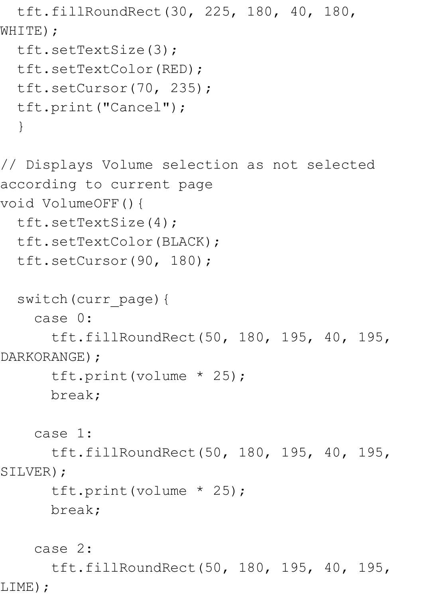```
 tft.fillRoundRect(30, 225, 180, 40, 180, 
WHITE);
   tft.setTextSize(3); 
   tft.setTextColor(RED);
   tft.setCursor(70, 235);
   tft.print("Cancel");
   } 
// Displays Volume selection as not selected 
according to current page
void VolumeOFF(){
   tft.setTextSize(4); 
   tft.setTextColor(BLACK);
   tft.setCursor(90, 180);
  switch(curr page){
     case 0:
       tft.fillRoundRect(50, 180, 195, 40, 195, 
DARKORANGE) ;
       tft.print(volume * 25);
       break;
     case 1:
       tft.fillRoundRect(50, 180, 195, 40, 195, 
SILVER) ;
       tft.print(volume * 25);
       break;
     case 2:
```
 tft.fillRoundRect(50, 180, 195, 40, 195, LIME);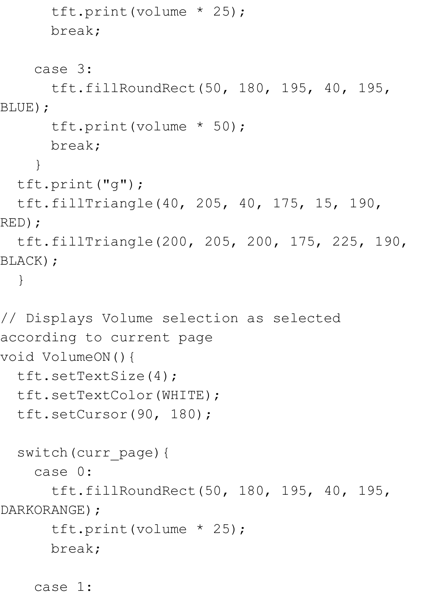```
 tft.print(volume * 25);
       break;
     case 3:
       tft.fillRoundRect(50, 180, 195, 40, 195, 
BLUE);
       tft.print(volume * 50);
       break;
 }
  tft.print("g");
   tft.fillTriangle(40, 205, 40, 175, 15, 190, 
RED);
   tft.fillTriangle(200, 205, 200, 175, 225, 190, 
BLACK); 
   }
// Displays Volume selection as selected 
according to current page
void VolumeON(){
   tft.setTextSize(4); 
  tft.setTextColor(WHITE);
  tft.setCursor(90, 180);
  switch(curr_page){
     case 0:
       tft.fillRoundRect(50, 180, 195, 40, 195, 
DARKORANGE) ;
       tft.print(volume * 25);
       break;
```
case 1: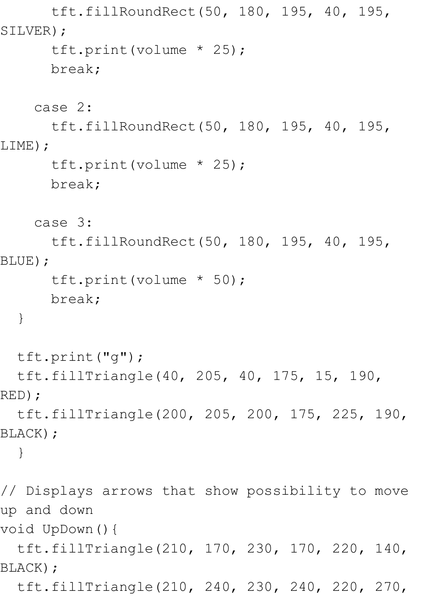tft.fillRoundRect(50, 180, 195, 40, 195, SILVER) ;

```
 tft.print(volume * 25);
 break;
```
case 2:

 tft.fillRoundRect(50, 180, 195, 40, 195, LIME);

```
 tft.print(volume * 25);
 break;
```
case 3:

 tft.fillRoundRect(50, 180, 195, 40, 195, BLUE);

```
 tft.print(volume * 50);
```
break;

}

tft.print("g");

 tft.fillTriangle(40, 205, 40, 175, 15, 190, RED);

 tft.fillTriangle(200, 205, 200, 175, 225, 190, BLACK);

}

// Displays arrows that show possibility to move up and down

void UpDown(){

 tft.fillTriangle(210, 170, 230, 170, 220, 140, BLACK);

tft.fillTriangle(210, 240, 230, 240, 220, 270,